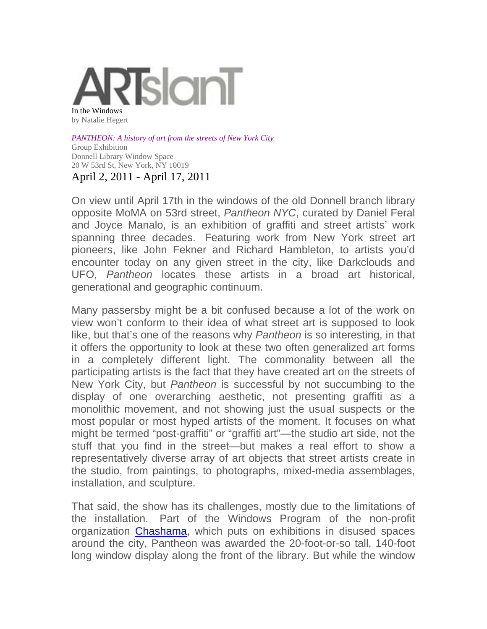

*PANTHEON: A history of art from the streets of New York City*

Group Exhibition Donnell Library Window Space 20 W 53rd St, New York, NY 10019 April 2, 2011 - April 17, 2011

On view until April 17th in the windows of the old Donnell branch library opposite MoMA on 53rd street, *Pantheon NYC*, curated by Daniel Feral and Joyce Manalo, is an exhibition of graffiti and street artists' work spanning three decades. Featuring work from New York street art pioneers, like John Fekner and Richard Hambleton, to artists you'd encounter today on any given street in the city, like Darkclouds and UFO, *Pantheon* locates these artists in a broad art historical, generational and geographic continuum.

Many passersby might be a bit confused because a lot of the work on view won't conform to their idea of what street art is supposed to look like, but that's one of the reasons why *Pantheon* is so interesting, in that it offers the opportunity to look at these two often generalized art forms in a completely different light. The commonality between all the participating artists is the fact that they have created art on the streets of New York City, but *Pantheon* is successful by not succumbing to the display of one overarching aesthetic, not presenting graffiti as a monolithic movement, and not showing just the usual suspects or the most popular or most hyped artists of the moment. It focuses on what might be termed "post-graffiti" or "graffiti art"—the studio art side, not the stuff that you find in the street—but makes a real effort to show a representatively diverse array of art objects that street artists create in the studio, from paintings, to photographs, mixed-media assemblages, installation, and sculpture.

That said, the show has its challenges, mostly due to the limitations of the installation. Part of the Windows Program of the non-profit organization Chashama, which puts on exhibitions in disused spaces around the city, Pantheon was awarded the 20-foot-or-so tall, 140-foot long window display along the front of the library. But while the window